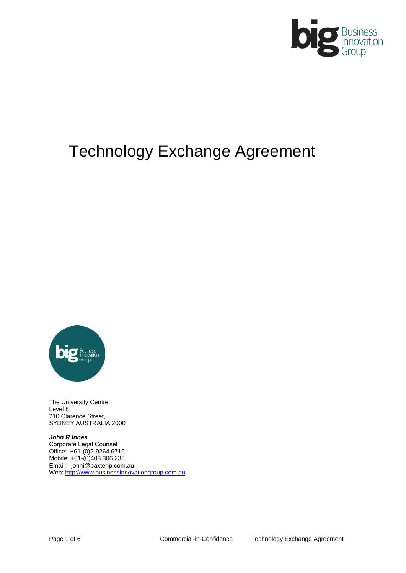

# Technology Exchange Agreement



The University Centre Level 8 210 Clarence Street, SYDNEY AUSTRALIA 2000

*John R Innes* Corporate Legal Counsel Office: +61-(0)2-9264 6716 Mobile: +61-(0)408 306 235 Email: johni@baxterip.com.au Web[: http://www.businessinnovationgroup.com.au](http://www.businessinnovationgroup.com.au/)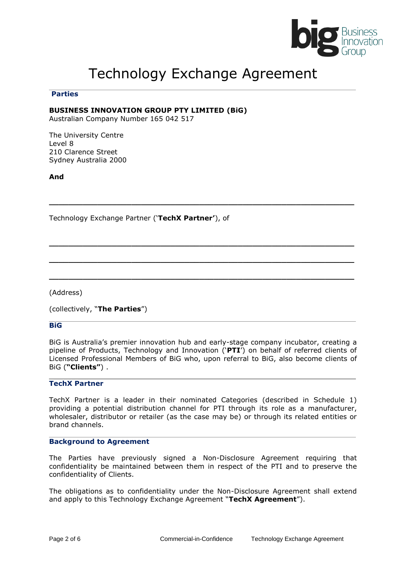

## Technology Exchange Agreement

**\_\_\_\_\_\_\_\_\_\_\_\_\_\_\_\_\_\_\_\_\_\_\_\_\_\_\_\_\_\_\_\_\_\_\_\_\_\_\_\_\_\_\_\_\_\_\_\_\_\_\_\_\_\_\_\_\_\_\_\_\_\_\_**

**\_\_\_\_\_\_\_\_\_\_\_\_\_\_\_\_\_\_\_\_\_\_\_\_\_\_\_\_\_\_\_\_\_\_\_\_\_\_\_\_\_\_\_\_\_\_\_\_\_\_\_\_\_\_\_\_\_\_\_\_\_\_\_**

**\_\_\_\_\_\_\_\_\_\_\_\_\_\_\_\_\_\_\_\_\_\_\_\_\_\_\_\_\_\_\_\_\_\_\_\_\_\_\_\_\_\_\_\_\_\_\_\_\_\_\_\_\_\_\_\_\_\_\_\_\_\_\_**

**\_\_\_\_\_\_\_\_\_\_\_\_\_\_\_\_\_\_\_\_\_\_\_\_\_\_\_\_\_\_\_\_\_\_\_\_\_\_\_\_\_\_\_\_\_\_\_\_\_\_\_\_\_\_\_\_\_\_\_\_\_\_\_**

#### **Parties**

#### **BUSINESS INNOVATION GROUP PTY LIMITED (BiG)**

Australian Company Number 165 042 517

The University Centre Level 8 210 Clarence Street Sydney Australia 2000

**And**

Technology Exchange Partner ('**TechX Partner'**), of

(Address)

(collectively, "**The Parties**")

#### **BiG**

BiG is Australia's premier innovation hub and early-stage company incubator, creating a pipeline of Products, Technology and Innovation ('**PTI**') on behalf of referred clients of Licensed Professional Members of BiG who, upon referral to BiG, also become clients of BiG (**"Clients"**) .

#### **TechX Partner**

TechX Partner is a leader in their nominated Categories (described in Schedule 1) providing a potential distribution channel for PTI through its role as a manufacturer, wholesaler, distributor or retailer (as the case may be) or through its related entities or brand channels.

#### **Background to Agreement**

The Parties have previously signed a Non-Disclosure Agreement requiring that confidentiality be maintained between them in respect of the PTI and to preserve the confidentiality of Clients.

The obligations as to confidentiality under the Non-Disclosure Agreement shall extend and apply to this Technology Exchange Agreement "**TechX Agreement**").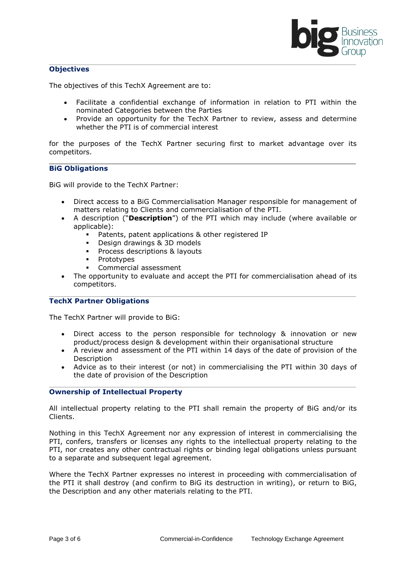

#### **Objectives**

The objectives of this TechX Agreement are to:

- Facilitate a confidential exchange of information in relation to PTI within the nominated Categories between the Parties
- Provide an opportunity for the TechX Partner to review, assess and determine whether the PTI is of commercial interest

for the purposes of the TechX Partner securing first to market advantage over its competitors.

#### **BiG Obligations**

BiG will provide to the TechX Partner:

- Direct access to a BiG Commercialisation Manager responsible for management of matters relating to Clients and commercialisation of the PTI.
- A description ("**Description**") of the PTI which may include (where available or applicable):
	- Patents, patent applications & other registered IP
	- Design drawings & 3D models
	- **Process descriptions & layouts**
	- **•** Prototypes
	- Commercial assessment
- The opportunity to evaluate and accept the PTI for commercialisation ahead of its competitors.

#### **TechX Partner Obligations**

The TechX Partner will provide to BiG:

- Direct access to the person responsible for technology & innovation or new product/process design & development within their organisational structure
- A review and assessment of the PTI within 14 days of the date of provision of the Description
- Advice as to their interest (or not) in commercialising the PTI within 30 days of the date of provision of the Description

#### **Ownership of Intellectual Property**

All intellectual property relating to the PTI shall remain the property of BiG and/or its Clients.

Nothing in this TechX Agreement nor any expression of interest in commercialising the PTI, confers, transfers or licenses any rights to the intellectual property relating to the PTI, nor creates any other contractual rights or binding legal obligations unless pursuant to a separate and subsequent legal agreement.

Where the TechX Partner expresses no interest in proceeding with commercialisation of the PTI it shall destroy (and confirm to BiG its destruction in writing), or return to BiG, the Description and any other materials relating to the PTI.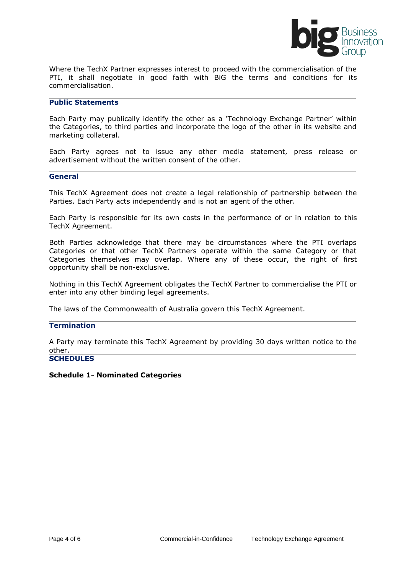

Where the TechX Partner expresses interest to proceed with the commercialisation of the PTI, it shall negotiate in good faith with BiG the terms and conditions for its commercialisation.

#### **Public Statements**

Each Party may publically identify the other as a 'Technology Exchange Partner' within the Categories, to third parties and incorporate the logo of the other in its website and marketing collateral.

Each Party agrees not to issue any other media statement, press release or advertisement without the written consent of the other.

#### **General**

This TechX Agreement does not create a legal relationship of partnership between the Parties. Each Party acts independently and is not an agent of the other.

Each Party is responsible for its own costs in the performance of or in relation to this TechX Agreement.

Both Parties acknowledge that there may be circumstances where the PTI overlaps Categories or that other TechX Partners operate within the same Category or that Categories themselves may overlap. Where any of these occur, the right of first opportunity shall be non-exclusive.

Nothing in this TechX Agreement obligates the TechX Partner to commercialise the PTI or enter into any other binding legal agreements.

The laws of the Commonwealth of Australia govern this TechX Agreement.

#### **Termination**

A Party may terminate this TechX Agreement by providing 30 days written notice to the other.

#### **SCHEDULES**

#### **Schedule 1- Nominated Categories**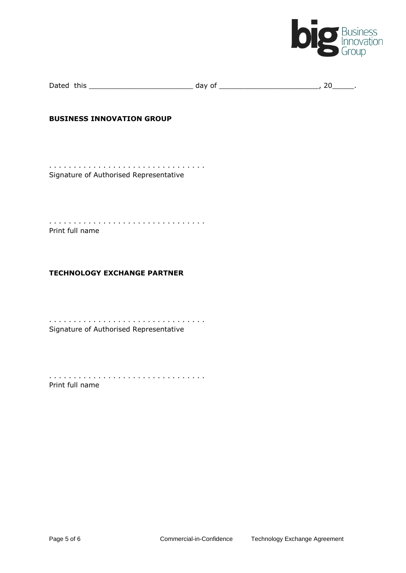

| Dated | this | ıav |  |  |
|-------|------|-----|--|--|
|       |      | . . |  |  |

#### **BUSINESS INNOVATION GROUP**

. . . . . . . . . . . . . . . . . . . . . . . . . . . . . . . . Signature of Authorised Representative

. . . . . . . . . . . . . . . . . . . . . . . . . . . . . . . . Print full name

#### **TECHNOLOGY EXCHANGE PARTNER**

. . . . . . . . . . . . . . . . . . . . . . . . . . . . . . . . Signature of Authorised Representative

. . . . . . . . . . . . . . . . . . . . . . . . . . . . . . . . Print full name